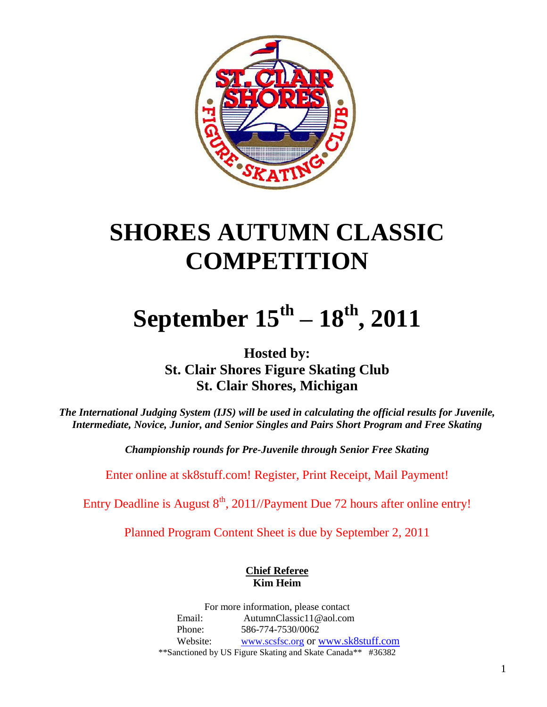

# **SHORES AUTUMN CLASSIC COMPETITION**

# **September 15th – 18th, 2011**

**Hosted by: St. Clair Shores Figure Skating Club St. Clair Shores, Michigan**

*The International Judging System (IJS) will be used in calculating the official results for Juvenile, Intermediate, Novice, Junior, and Senior Singles and Pairs Short Program and Free Skating*

*Championship rounds for Pre-Juvenile through Senior Free Skating*

Enter online at sk8stuff.com! Register, Print Receipt, Mail Payment!

Entry Deadline is August  $8<sup>th</sup>$ , 2011//Payment Due 72 hours after online entry!

Planned Program Content Sheet is due by September 2, 2011

## **Chief Referee Kim Heim**

For more information, please contact Email: AutumnClassic11@aol.com Phone: 586-774-7530/0062 Website: [www.scsfsc.org](http://www.scsfsc.org/) or [www.sk8stuff.com](http://www.sk8stuff.com/) \*\*Sanctioned by US Figure Skating and Skate Canada\*\* #36382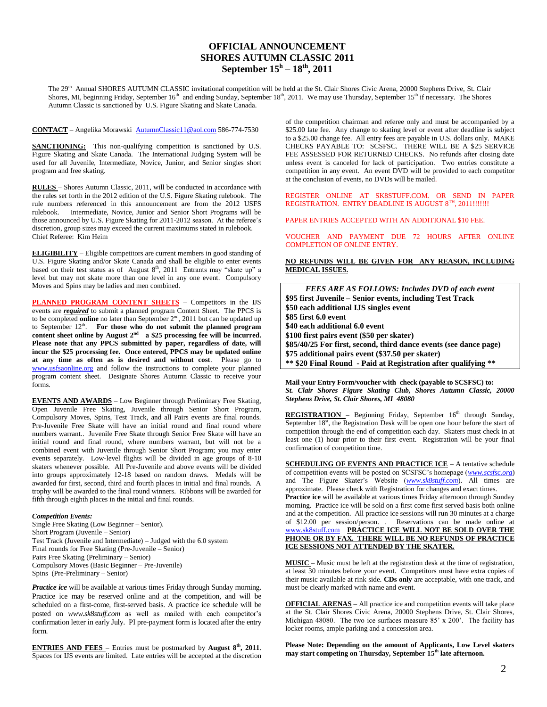## **OFFICIAL ANNOUNCEMENT SHORES AUTUMN CLASSIC 2011 September 15 h – 18th, 2011**

The 29<sup>th</sup> Annual SHORES AUTUMN CLASSIC invitational competition will be held at the St. Clair Shores Civic Arena, 20000 Stephens Drive, St. Clair Shores, MI, beginning Friday, September 16<sup>th</sup> and ending Sunday, September 18<sup>th</sup>, 2011. We may use Thursday, September 15<sup>th</sup> if necessary. The Shores Autumn Classic is sanctioned by U.S. Figure Skating and Skate Canada.

#### **CONTACT** – Angelika Morawski [AutumnClassic11@aol.com](mailto:AutumnClassic11@aol.com) 586-774-7530

**SANCTIONING:** This non-qualifying competition is sanctioned by U.S. Figure Skating and Skate Canada. The International Judging System will be used for all Juvenile, Intermediate, Novice, Junior, and Senior singles short program and free skating.

**RULES** – Shores Autumn Classic, 2011, will be conducted in accordance with the rules set forth in the 2012 edition of the U.S. Figure Skating rulebook. The rule numbers referenced in this announcement are from the 2012 USFS rulebook. Intermediate, Novice, Junior and Senior Short Programs will be those announced by U.S. Figure Skating for 2011-2012 season. At the referee's discretion, group sizes may exceed the current maximums stated in rulebook. Chief Referee: Kim Heim

**ELIGIBILITY** – Eligible competitors are current members in good standing of U.S. Figure Skating and/or Skate Canada and shall be eligible to enter events based on their test status as of August  $8<sup>th</sup>$ , 2011 Entrants may "skate up" a level but may not skate more than one level in any one event. Compulsory Moves and Spins may be ladies and men combined.

**PLANNED PROGRAM CONTENT SHEETS** – Competitors in the IJS events are *required* to submit a planned program Content Sheet. The PPCS is to be completed **online** no later than September 2<sup>nd</sup>, 2011 but can be updated up to September 12<sup>th</sup>. For those who do not submit the planned program content sheet online by August  $2^{nd}$  a \$25 processing fee will be incurred. **Please note that any PPCS submitted by paper, regardless of date, will incur the \$25 processing fee. Once entered, PPCS may be updated online at any time as often as is desired and without cost**. Please go to [www.usfsaonline.org](http://www.usfsonline.org/) and follow the instructions to complete your planned program content sheet. Designate Shores Autumn Classic to receive your forms.

**EVENTS AND AWARDS** – Low Beginner through Preliminary Free Skating, Open Juvenile Free Skating, Juvenile through Senior Short Program, Compulsory Moves, Spins, Test Track, and all Pairs events are final rounds. Pre-Juvenile Free Skate will have an initial round and final round where numbers warrant.. Juvenile Free Skate through Senior Free Skate will have an initial round and final round, where numbers warrant, but will not be a combined event with Juvenile through Senior Short Program; you may enter events separately. Low-level flights will be divided in age groups of 8-10 skaters whenever possible. All Pre-Juvenile and above events will be divided into groups approximately 12-18 based on random draws. Medals will be awarded for first, second, third and fourth places in initial and final rounds. A trophy will be awarded to the final round winners. Ribbons will be awarded for fifth through eighth places in the initial and final rounds.

#### *Competition Events:*

Single Free Skating (Low Beginner – Senior). Short Program (Juvenile – Senior) Test Track (Juvenile and Intermediate) – Judged with the 6.0 system Final rounds for Free Skating (Pre-Juvenile – Senior) Pairs Free Skating (Preliminary – Senior) Compulsory Moves (Basic Beginner – Pre-Juvenile) Spins (Pre-Preliminary – Senior)

*Practice ice* will be available at various times Friday through Sunday morning. Practice ice may be reserved online and at the competition, and will be scheduled on a first-come, first-served basis. A practice ice schedule will be posted on *www.sk8stuff.com* as well as mailed with each competitor's confirmation letter in early July. PI pre-payment form is located after the entry form.

**ENTRIES AND FEES** – Entries must be postmarked by **August**  $8^{\text{th}}$ , 2011. Spaces for IJS events are limited. Late entries will be accepted at the discretion of the competition chairman and referee only and must be accompanied by a \$25.00 late fee. Any change to skating level or event after deadline is subject to a \$25.00 change fee. All entry fees are payable in U.S. dollars only. MAKE CHECKS PAYABLE TO: SCSFSC. THERE WILL BE A \$25 SERVICE FEE ASSESSED FOR RETURNED CHECKS. No refunds after closing date unless event is canceled for lack of participation. Two entries constitute a competition in any event. An event DVD will be provided to each competitor at the conclusion of events, no DVDs will be mailed.

REGISTER ONLINE AT SK8STUFF.COM. OR SEND IN PAPER REGISTRATION. ENTRY DEADLINE IS AUGUST 8TH, 2011!!!!!!!

PAPER ENTRIES ACCEPTED WITH AN ADDITIONAL \$10 FEE.

VOUCHER AND PAYMENT DUE 72 HOURS AFTER ONLINE COMPLETION OF ONLINE ENTRY.

**NO REFUNDS WILL BE GIVEN FOR ANY REASON, INCLUDING MEDICAL ISSUES.**

| <b>FEES ARE AS FOLLOWS: Includes DVD of each event</b>            |
|-------------------------------------------------------------------|
| \$95 first Juvenile – Senior events, including Test Track         |
| \$50 each additional IJS singles event                            |
| \$85 first 6.0 event                                              |
| \$40 each additional 6.0 event                                    |
| \$100 first pairs event (\$50 per skater)                         |
| \$85/40/25 For first, second, third dance events (see dance page) |
| \$75 additional pairs event (\$37.50 per skater)                  |
| ** \$20 Final Round - Paid at Registration after qualifying **    |

**Mail your Entry Form/voucher with check (payable to SCSFSC) to:** *St. Clair Shores Figure Skating Club, Shores Autumn Classic, 20000 Stephens Drive, St. Clair Shores, MI 48080*

REGISTRATION - Beginning Friday, September 16<sup>th</sup> through Sunday, September 18<sup>st</sup>, the Registration Desk will be open one hour before the start of competition through the end of competition each day. Skaters must check in at least one (1) hour prior to their first event. Registration will be your final confirmation of competition time.

**SCHEDULING OF EVENTS AND PRACTICE ICE** – A tentative schedule of competition events will be posted on SCSFSC's homepage (*[www.scsfsc.org](http://www.scsfsc.org/)*) and The Figure Skater's Website (*[www.sk8stuff.com](http://www.sk8stuff.com/)*). All times are approximate. Please check with Registration for changes and exact times.

**Practice ice** will be available at various times Friday afternoon through Sunday morning. Practice ice will be sold on a first come first served basis both online and at the competition. All practice ice sessions will run 30 minutes at a charge of \$12.00 per session/person. . Reservations can be made online at [www.sk8stuff.com](http://www.sk8stuff.com/) **PRACTICE ICE WILL NOT BE SOLD OVER THE PHONE OR BY FAX. THERE WILL BE NO REFUNDS OF PRACTICE ICE SESSIONS NOT ATTENDED BY THE SKATER.**

**MUSIC** – Music must be left at the registration desk at the time of registration, at least 30 minutes before your event. Competitors must have extra copies of their music available at rink side. **CDs only** are acceptable, with one track, and must be clearly marked with name and event.

**OFFICIAL ARENAS** – All practice ice and competition events will take place at the St. Clair Shores Civic Arena, 20000 Stephens Drive, St. Clair Shores, Michigan 48080. The two ice surfaces measure 85' x 200'. The facility has locker rooms, ample parking and a concession area.

**Please Note: Depending on the amount of Applicants, Low Level skaters may start competing on Thursday, September 15 th late afternoon.**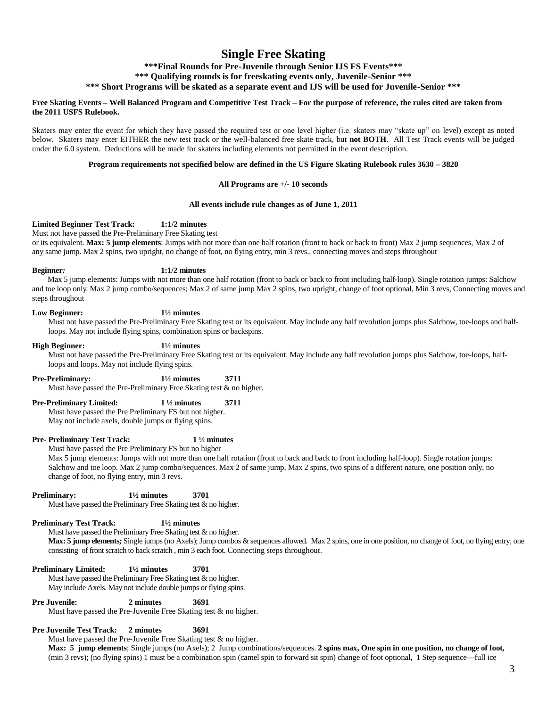# **Single Free Skating**

**\*\*\*Final Rounds for Pre-Juvenile through Senior IJS FS Events\*\*\***

**\*\*\* Qualifying rounds is for freeskating events only, Juvenile-Senior \*\*\***

**\*\*\* Short Programs will be skated as a separate event and IJS will be used for Juvenile-Senior \*\*\***

#### **Free Skating Events – Well Balanced Program and Competitive Test Track – For the purpose of reference, the rules cited are taken from the 2011 USFS Rulebook.**

Skaters may enter the event for which they have passed the required test or one level higher (i.e. skaters may "skate up" on level) except as noted below. Skaters may enter EITHER the new test track or the well-balanced free skate track, but **not BOTH**. All Test Track events will be judged under the 6.0 system. Deductions will be made for skaters including elements not permitted in the event description.

#### **Program requirements not specified below are defined in the US Figure Skating Rulebook rules 3630 – 3820**

#### **All Programs are +/- 10 seconds**

#### **All events include rule changes as of June 1, 2011**

#### **Limited Beginner Test Track: 1:1/2 minutes**

Must not have passed the Pre-Preliminary Free Skating test

or its equivalent. **Max: 5 jump elements**: Jumps with not more than one half rotation (front to back or back to front) Max 2 jump sequences, Max 2 of any same jump. Max 2 spins, two upright, no change of foot, no flying entry, min 3 revs., connecting moves and steps throughout

#### **Beginner***:* **1:1/2 minutes**

 Max 5 jump elements: Jumps with not more than one half rotation (front to back or back to front including half-loop). Single rotation jumps: Salchow and toe loop only. Max 2 jump combo/sequences; Max 2 of same jump Max 2 spins, two upright, change of foot optional, Min 3 revs, Connecting moves and steps throughout

#### **Low Beginner: 1½ minutes**

Must not have passed the Pre-Preliminary Free Skating test or its equivalent. May include any half revolution jumps plus Salchow, toe-loops and halfloops. May not include flying spins, combination spins or backspins.

#### **High Beginner: 1½ minutes**

Must not have passed the Pre-Preliminary Free Skating test or its equivalent. May include any half revolution jumps plus Salchow, toe-loops, halfloops and loops. May not include flying spins.

**Pre-Preliminary: 1½ minutes 3711**

Must have passed the Pre-Preliminary Free Skating test & no higher.

**Pre-Preliminary Limited: 1 ½ minutes 3711**

Must have passed the Pre Preliminary FS but not higher. May not include axels, double jumps or flying spins.

#### **Pre- Preliminary Test Track: 1 ½ minutes**

Must have passed the Pre Preliminary FS but no higher

Max 5 jump elements: Jumps with not more than one half rotation (front to back and back to front including half-loop). Single rotation jumps: Salchow and toe loop. Max 2 jump combo/sequences. Max 2 of same jump, Max 2 spins, two spins of a different nature, one position only, no change of foot, no flying entry, min 3 revs.

**Preliminary: 1½ minutes 3701**

Must have passed the Preliminary Free Skating test & no higher.

#### **Preliminary Test Track: 1½ minutes**

Must have passed the Preliminary Free Skating test & no higher.

**Max: 5 jump elements***;* Single jumps (no Axels); Jump combos & sequences allowed. Max 2 spins, one in one position, no change of foot, no flying entry, one consisting of front scratch to back scratch , min 3 each foot. Connecting steps throughout.

#### **Preliminary Limited: 1½ minutes 3701**

Must have passed the Preliminary Free Skating test & no higher. May include Axels. May not include double jumps or flying spins.

**Pre Juvenile: 2 minutes 3691**

Must have passed the Pre-Juvenile Free Skating test & no higher.

#### **Pre Juvenile Test Track: 2 minutes 3691**

Must have passed the Pre-Juvenile Free Skating test & no higher.

**Max: 5 jump elements**; Single jumps (no Axels); 2 Jump combinations/sequences. **2 spins max, One spin in one position, no change of foot***,* (min 3 revs); (no flying spins) 1 must be a combination spin (camel spin to forward sit spin) change of foot optional, 1 Step sequence—full ice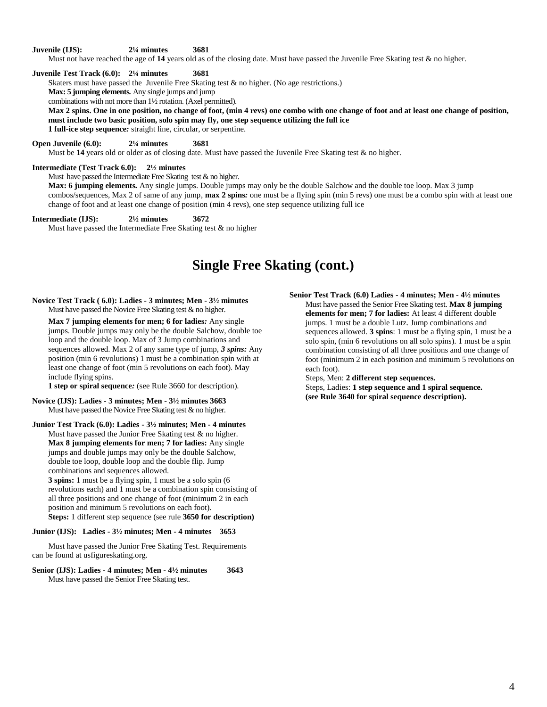**Juvenile (IJS): 2¼ minutes 3681**

Must not have reached the age of 14 years old as of the closing date. Must have passed the Juvenile Free Skating test & no higher.

**Juvenile Test Track (6.0): 2¼ minutes 3681**

Skaters must have passed the Juvenile Free Skating test & no higher. (No age restrictions.)

**Max: 5 jumping elements***.* Any single jumps and jump

combinations with not more than 1½ rotation. (Axel permitted).

**Max 2 spins. One in one position, no change of foot, (min 4 revs) one combo with one change of foot and at least one change of position, must include two basic position, solo spin may fly, one step sequence utilizing the full ice 1 full-ice step sequence***:* straight line, circular, or serpentine.

**Open Juvenile (6.0): 2¼ minutes 3681**

Must be 14 years old or older as of closing date. Must have passed the Juvenile Free Skating test & no higher.

#### **Intermediate (Test Track 6.0): 2½ minutes**

Must have passed the Intermediate Free Skating test & no higher.

**Max: 6 jumping elements***.* Any single jumps. Double jumps may only be the double Salchow and the double toe loop. Max 3 jump combos/sequences, Max 2 of same of any jump, **max 2 spins***:* one must be a flying spin (min 5 revs) one must be a combo spin with at least one change of foot and at least one change of position (min 4 revs), one step sequence utilizing full ice

#### **Intermediate (IJS): 2½ minutes 3672**

Must have passed the Intermediate Free Skating test & no higher

# **Single Free Skating (cont.)**

#### **Novice Test Track ( 6.0): Ladies - 3 minutes; Men - 3½ minutes** Must have passed the Novice Free Skating test & no higher.

**Max 7 jumping elements for men; 6 for ladies***:* Any single jumps. Double jumps may only be the double Salchow, double toe loop and the double loop. Max of 3 Jump combinations and sequences allowed. Max 2 of any same type of jump, *3 spins:* Any position (min 6 revolutions) 1 must be a combination spin with at least one change of foot (min 5 revolutions on each foot). May include flying spins.

**1 step or spiral sequence***:* (see Rule 3660 for description).

**Novice (IJS): Ladies - 3 minutes; Men - 3½ minutes 3663** Must have passed the Novice Free Skating test & no higher.

**Junior Test Track (6.0): Ladies - 3½ minutes; Men - 4 minutes** Must have passed the Junior Free Skating test & no higher. **Max 8 jumping elements for men; 7 for ladies:** Any single jumps and double jumps may only be the double Salchow, double toe loop, double loop and the double flip. Jump combinations and sequences allowed.

**3 spins:** 1 must be a flying spin, 1 must be a solo spin (6 revolutions each) and 1 must be a combination spin consisting of all three positions and one change of foot (minimum 2 in each position and minimum 5 revolutions on each foot). **Steps:** 1 different step sequence (see rule **3650 for description)**

#### **Junior (IJS): Ladies - 3½ minutes; Men - 4 minutes 3653**

 Must have passed the Junior Free Skating Test. Requirements can be found at usfigureskating.org.

#### **Senior (IJS): Ladies - 4 minutes; Men - 4½ minutes 3643** Must have passed the Senior Free Skating test.

**Senior Test Track (6.0) Ladies - 4 minutes; Men - 4½ minutes** Must have passed the Senior Free Skating test. **Max 8 jumping elements for men; 7 for ladies:** At least 4 different double jumps. 1 must be a double Lutz. Jump combinations and sequences allowed. **3 spins**: 1 must be a flying spin, 1 must be a solo spin, (min 6 revolutions on all solo spins). 1 must be a spin combination consisting of all three positions and one change of foot (minimum 2 in each position and minimum 5 revolutions on each foot).

Steps, Men: **2 different step sequences.** Steps, Ladies: **1 step sequence and 1 spiral sequence.** 

**(see Rule 3640 for spiral sequence description).**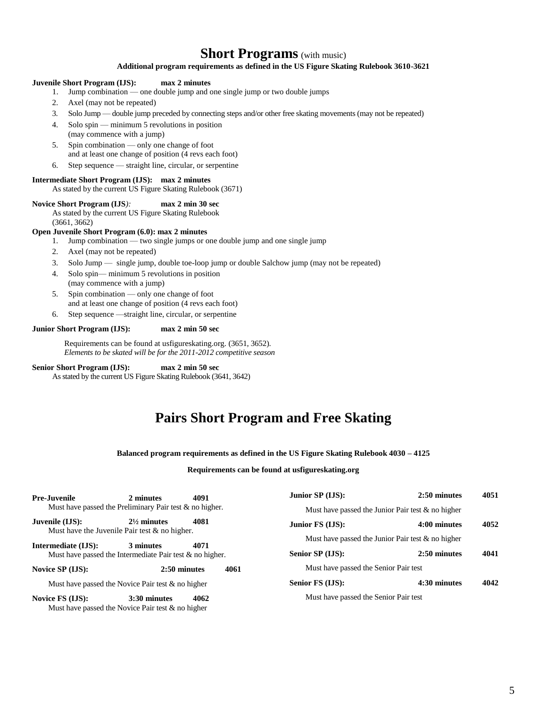# **Short Programs** (with music)

#### **Additional program requirements as defined in the US Figure Skating Rulebook 3610-3621**

#### **Juvenile Short Program (IJS): max 2 minutes**

- 1. Jump combination one double jump and one single jump or two double jumps
- 2. Axel (may not be repeated)
- 3. Solo Jump double jump preceded by connecting steps and/or other free skating movements (may not be repeated)
- 4. Solo spin minimum 5 revolutions in position (may commence with a jump)
- 5. Spin combination only one change of foot and at least one change of position (4 revs each foot)
- 6. Step sequence straight line, circular, or serpentine

## **Intermediate Short Program (IJS): max 2 minutes**

#### As stated by the current US Figure Skating Rulebook (3671)

#### **Novice Short Program (IJS***):* **max 2 min 30 sec**

As stated by the current US Figure Skating Rulebook (3661, 3662)

#### **Open Juvenile Short Program (6.0): max 2 minutes**

- 1. Jump combination two single jumps or one double jump and one single jump
- 2. Axel (may not be repeated)
- 3. Solo Jump single jump, double toe-loop jump or double Salchow jump (may not be repeated)
- 4. Solo spin— minimum 5 revolutions in position
- (may commence with a jump)
- 5. Spin combination only one change of foot and at least one change of position (4 revs each foot)
- 6. Step sequence —straight line, circular, or serpentine

#### **Junior Short Program (IJS): max 2 min 50 sec**

Requirements can be found at usfigureskating.org. (3651, 3652). *Elements to be skated will be for the 2011-2012 competitive season*

**Senior Short Program (IJS): max 2 min 50 sec** As stated by the current US Figure Skating Rulebook (3641, 3642)

# **Pairs Short Program and Free Skating**

#### **Balanced program requirements as defined in the US Figure Skating Rulebook 4030 – 4125**

#### **Requirements can be found at usfigureskating.org**

| <b>Pre-Juvenile</b> | 2 minutes                                                                  | 4091                 | Junior SP (IJS):                      | 2:50 minutes                                         | 4051 |
|---------------------|----------------------------------------------------------------------------|----------------------|---------------------------------------|------------------------------------------------------|------|
|                     | Must have passed the Preliminary Pair test $\&$ no higher.                 |                      |                                       | Must have passed the Junior Pair test $\&$ no higher |      |
| Juvenile (IJS):     | $2\frac{1}{2}$ minutes<br>Must have the Juvenile Pair test $\&$ no higher. | 4081                 | Junior FS (IJS):                      | 4:00 minutes                                         | 4052 |
|                     |                                                                            |                      |                                       | Must have passed the Junior Pair test $\&$ no higher |      |
| Intermediate (IJS): | 3 minutes<br>Must have passed the Intermediate Pair test $\&$ no higher.   | 4071                 | Senior SP (IJS):                      | 2:50 minutes                                         | 4041 |
| Novice SP (IJS):    |                                                                            | 2:50 minutes<br>4061 | Must have passed the Senior Pair test |                                                      |      |
|                     | Must have passed the Novice Pair test $&$ no higher                        |                      | Senior FS (IJS):                      | 4:30 minutes                                         | 4042 |
| Novice FS (IJS):    | 3:30 minutes<br>Must have passed the Novice Pair test $\&$ no higher       | 4062                 | Must have passed the Senior Pair test |                                                      |      |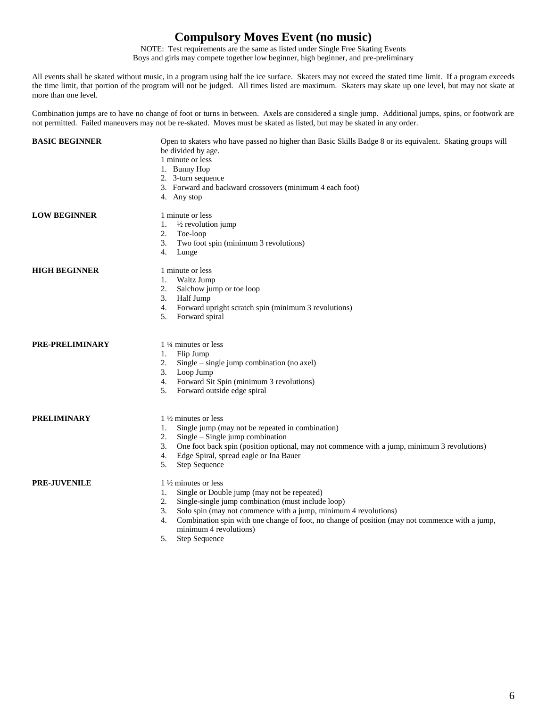# **Compulsory Moves Event (no music)**

NOTE: Test requirements are the same as listed under Single Free Skating Events

Boys and girls may compete together low beginner, high beginner, and pre-preliminary

All events shall be skated without music, in a program using half the ice surface. Skaters may not exceed the stated time limit. If a program exceeds the time limit, that portion of the program will not be judged. All times listed are maximum. Skaters may skate up one level, but may not skate at more than one level.

Combination jumps are to have no change of foot or turns in between. Axels are considered a single jump. Additional jumps, spins, or footwork are not permitted. Failed maneuvers may not be re-skated. Moves must be skated as listed, but may be skated in any order.

| <b>BASIC BEGINNER</b> | Open to skaters who have passed no higher than Basic Skills Badge 8 or its equivalent. Skating groups will<br>be divided by age.<br>1 minute or less<br>1. Bunny Hop<br>2. 3-turn sequence<br>3. Forward and backward crossovers (minimum 4 each foot)<br>4. Any stop                                                                             |
|-----------------------|---------------------------------------------------------------------------------------------------------------------------------------------------------------------------------------------------------------------------------------------------------------------------------------------------------------------------------------------------|
| <b>LOW BEGINNER</b>   | 1 minute or less<br>$\frac{1}{2}$ revolution jump<br>1.<br>2.<br>Toe-loop<br>Two foot spin (minimum 3 revolutions)<br>3.<br>4.<br>Lunge                                                                                                                                                                                                           |
| <b>HIGH BEGINNER</b>  | 1 minute or less<br>Waltz Jump<br>1.<br>Salchow jump or toe loop<br>2.<br>Half Jump<br>3.<br>Forward upright scratch spin (minimum 3 revolutions)<br>4.<br>5.<br>Forward spiral                                                                                                                                                                   |
| PRE-PRELIMINARY       | 1 ¼ minutes or less<br>Flip Jump<br>1.<br>$Single - single jump combination (no axel)$<br>2.<br>Loop Jump<br>3.<br>Forward Sit Spin (minimum 3 revolutions)<br>4.<br>Forward outside edge spiral<br>5.                                                                                                                                            |
| PRELIMINARY           | $1\frac{1}{2}$ minutes or less<br>Single jump (may not be repeated in combination)<br>1.<br>$Single - Single jump combination$<br>2.<br>One foot back spin (position optional, may not commence with a jump, minimum 3 revolutions)<br>3.<br>Edge Spiral, spread eagle or Ina Bauer<br>4.<br>Step Sequence<br>5.                                  |
| <b>PRE-JUVENILE</b>   | 1 1/2 minutes or less<br>Single or Double jump (may not be repeated)<br>1.<br>Single-single jump combination (must include loop)<br>2.<br>Solo spin (may not commence with a jump, minimum 4 revolutions)<br>3.<br>Combination spin with one change of foot, no change of position (may not commence with a jump,<br>4.<br>minimum 4 revolutions) |

5. Step Sequence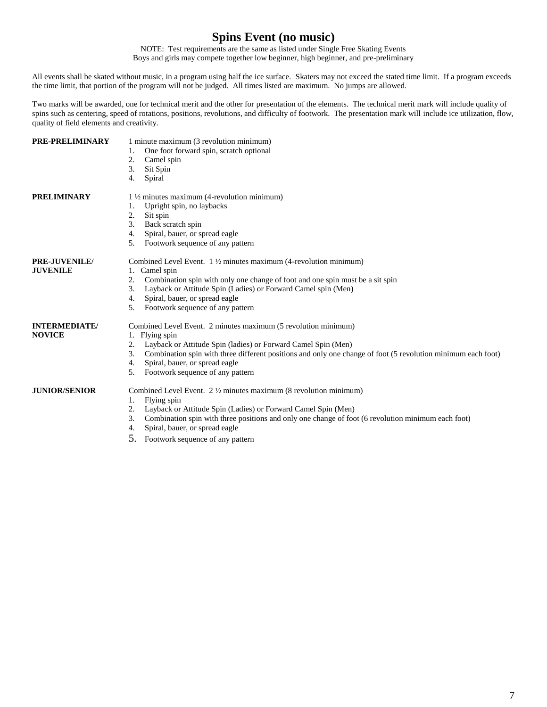# **Spins Event (no music)**

NOTE: Test requirements are the same as listed under Single Free Skating Events

Boys and girls may compete together low beginner, high beginner, and pre-preliminary

All events shall be skated without music, in a program using half the ice surface. Skaters may not exceed the stated time limit. If a program exceeds the time limit, that portion of the program will not be judged. All times listed are maximum. No jumps are allowed.

Two marks will be awarded, one for technical merit and the other for presentation of the elements. The technical merit mark will include quality of spins such as centering, speed of rotations, positions, revolutions, and difficulty of footwork. The presentation mark will include ice utilization, flow, quality of field elements and creativity.

| PRE-PRELIMINARY                       | 1 minute maximum (3 revolution minimum)<br>One foot forward spin, scratch optional<br>1.<br>2.<br>Camel spin<br>3.<br>Sit Spin<br>4.<br>Spiral                                                                                                                                                                                                                        |
|---------------------------------------|-----------------------------------------------------------------------------------------------------------------------------------------------------------------------------------------------------------------------------------------------------------------------------------------------------------------------------------------------------------------------|
| <b>PRELIMINARY</b>                    | $1\frac{1}{2}$ minutes maximum (4-revolution minimum)<br>Upright spin, no laybacks<br>1.<br>2.<br>Sit spin<br>3.<br>Back scratch spin<br>Spiral, bauer, or spread eagle<br>4.<br>Footwork sequence of any pattern<br>5.                                                                                                                                               |
| PRE-JUVENILE/<br><b>JUVENILE</b>      | Combined Level Event. $1\frac{1}{2}$ minutes maximum (4-revolution minimum)<br>1. Camel spin<br>2.<br>Combination spin with only one change of foot and one spin must be a sit spin<br>3.<br>Layback or Attitude Spin (Ladies) or Forward Camel spin (Men)<br>Spiral, bauer, or spread eagle<br>4.<br>Footwork sequence of any pattern<br>5.                          |
| <b>INTERMEDIATE/</b><br><b>NOVICE</b> | Combined Level Event. 2 minutes maximum (5 revolution minimum)<br>1. Flying spin<br>2.<br>Layback or Attitude Spin (ladies) or Forward Camel Spin (Men)<br>3.<br>Combination spin with three different positions and only one change of foot (5 revolution minimum each foot)<br>Spiral, bauer, or spread eagle<br>4.<br>Footwork sequence of any pattern<br>5.       |
| <b>JUNIOR/SENIOR</b>                  | Combined Level Event. $2\frac{1}{2}$ minutes maximum (8 revolution minimum)<br>Flying spin<br>1.<br>Layback or Attitude Spin (Ladies) or Forward Camel Spin (Men)<br>2.<br>3.<br>Combination spin with three positions and only one change of foot (6 revolution minimum each foot)<br>Spiral, bauer, or spread eagle<br>4.<br>5.<br>Footwork sequence of any pattern |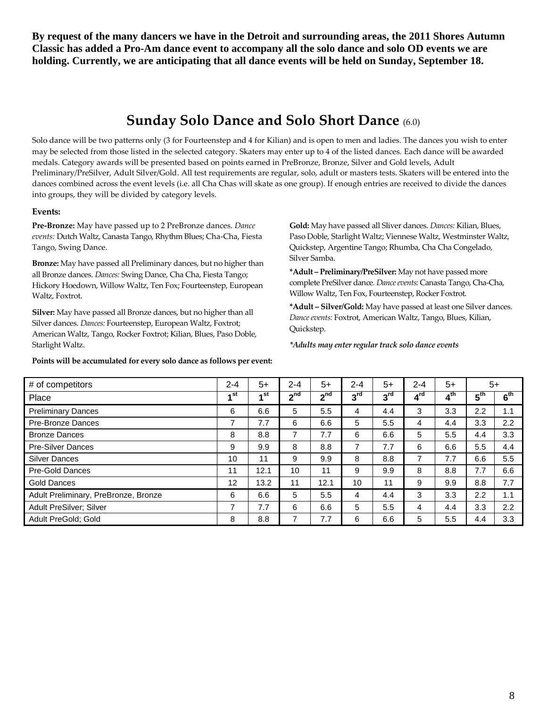**By request of the many dancers we have in the Detroit and surrounding areas, the 2011 Shores Autumn Classic has added a Pro-Am dance event to accompany all the solo dance and solo OD events we are holding. Currently, we are anticipating that all dance events will be held on Sunday, September 18.** 

# **Sunday Solo Dance and Solo Short Dance** (6.0)

Solo dance will be two patterns only (3 for Fourteenstep and 4 for Kilian) and is open to men and ladies. The dances you wish to enter may be selected from those listed in the selected category. Skaters may enter up to 4 of the listed dances. Each dance will be awarded medals. Category awards will be presented based on points earned in PreBronze, Bronze, Silver and Gold levels, Adult Preliminary/PreSilver, Adult Silver/Gold. All test requirements are regular, solo, adult or masters tests. Skaters will be entered into the dances combined across the event levels (i.e. all Cha Chas will skate as one group). If enough entries are received to divide the dances into groups, they will be divided by category levels.

#### **Events:**

**Pre-Bronze:** May have passed up to 2 PreBronze dances. *Dance events:* Dutch Waltz, Canasta Tango, Rhythm Blues; Cha-Cha, Fiesta Tango, Swing Dance.

**Bronze:** May have passed all Preliminary dances, but no higher than all Bronze dances. *Dances:* Swing Dance, Cha Cha, Fiesta Tango; Hickory Hoedown, Willow Waltz, Ten Fox; Fourteenstep, European Waltz, Foxtrot.

**Silver:** May have passed all Bronze dances, but no higher than all Silver dances. *Dances:* Fourteenstep, European Waltz, Foxtrot; American Waltz, Tango, Rocker Foxtrot; Kilian, Blues, Paso Doble, Starlight Waltz.

**Points will be accumulated for every solo dance as follows per event:** 

**Gold:** May have passed all Sliver dances. *Dances:* Kilian, Blues, Paso Doble, Starlight Waltz; Viennese Waltz, Westminster Waltz, Quickstep, Argentine Tango; Rhumba, Cha Cha Congelado, Silver Samba.

**\*Adult – Preliminary/PreSilver:** May not have passed more complete PreSilver dance. *Dance events:* Canasta Tango, Cha-Cha, Willow Waltz, Ten Fox, Fourteenstep, Rocker Foxtrot.

**\*Adult – Silver/Gold:** May have passed at least one Silver dances. *Dance events:* Foxtrot, American Waltz, Tango, Blues, Kilian, Quickstep.

*\*Adults may enter regular track solo dance events* 

| # of competitors                     | $2 - 4$        | $5+$ | $2 - 4$         | $5+$ | $2 - 4$         | $5+$            | $2 - 4$                    | $5+$            |                 | $5+$             |
|--------------------------------------|----------------|------|-----------------|------|-----------------|-----------------|----------------------------|-----------------|-----------------|------------------|
| Place                                | ⊿ st           | ⊿ st | 2 <sup>nd</sup> | ეnd  | 3 <sup>rd</sup> | 3 <sup>rd</sup> | $\overline{4}^{\text{rd}}$ | 4 <sup>th</sup> | $5^{\text{th}}$ | 6 <sup>th</sup>  |
| <b>Preliminary Dances</b>            | 6              | 6.6  | 5               | 5.5  | 4               | 4.4             | 3                          | 3.3             | 2.2             | 1.1              |
| Pre-Bronze Dances                    | 7              | 7.7  | 6               | 6.6  | 5               | 5.5             | 4                          | 4.4             | 3.3             | $2.2\phantom{0}$ |
| <b>Bronze Dances</b>                 | 8              | 8.8  | 7               | 7.7  | 6               | 6.6             | 5                          | 5.5             | 4.4             | 3.3              |
| <b>Pre-Silver Dances</b>             | 9              | 9.9  | 8               | 8.8  | 7               | 7.7             | 6                          | 6.6             | 5.5             | 4.4              |
| <b>Silver Dances</b>                 | 10             | 11   | 9               | 9.9  | 8               | 8.8             | 7                          | 7.7             | 6.6             | 5.5              |
| Pre-Gold Dances                      | 11             | 12.1 | 10              | 11   | 9               | 9.9             | 8                          | 8.8             | 7.7             | 6.6              |
| Gold Dances                          | 12             | 13.2 | 11              | 12.1 | 10              | 11              | 9                          | 9.9             | 8.8             | 7.7              |
| Adult Preliminary, PreBronze, Bronze | 6              | 6.6  | 5               | 5.5  | 4               | 4.4             | 3                          | 3.3             | 2.2             | 1.1              |
| Adult PreSilver; Silver              | $\overline{ }$ | 7.7  | 6               | 6.6  | 5               | 5.5             | 4                          | 4.4             | 3.3             | $2.2\phantom{0}$ |
| Adult PreGold; Gold                  | 8              | 8.8  | 7               | 7.7  | 6               | 6.6             | 5                          | 5.5             | 4.4             | 3.3              |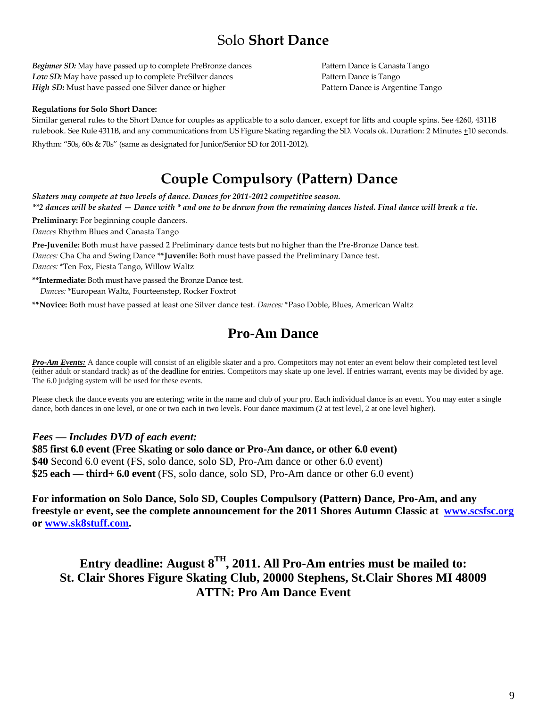# Solo **Short Dance**

*Beginner SD*: May have passed up to complete PreBronze dances Pattern Dance is Canasta Tango *Low SD:* May have passed up to complete PreSilver dances Pattern Dance is Tango *High SD:* Must have passed one Silver dance or higher Pattern Dance is Argentine Tango

#### **Regulations for Solo Short Dance:**

Similar general rules to the Short Dance for couples as applicable to a solo dancer, except for lifts and couple spins. See 4260, 4311B rulebook. See Rule 4311B, and any communications from US Figure Skating regarding the SD. Vocals ok. Duration: 2 Minutes +10 seconds.

Rhythm: "50s, 60s & 70s" (same as designated for Junior/Senior SD for 2011-2012).

# **Couple Compulsory (Pattern) Dance**

*Skaters may compete at two levels of dance. Dances for 2011-2012 competitive season. \*\*2 dances will be skated — Dance with \* and one to be drawn from the remaining dances listed. Final dance will break a tie.* 

**Preliminary:** For beginning couple dancers. *Dances* Rhythm Blues and Canasta Tango

**Pre-Juvenile:** Both must have passed 2 Preliminary dance tests but no higher than the Pre-Bronze Dance test. *Dances:* Cha Cha and Swing Dance **\*\*Juvenile:** Both must have passed the Preliminary Dance test.

*Dances:* \*Ten Fox, Fiesta Tango, Willow Waltz

**\*\*Intermediate:** Both must have passed the Bronze Dance test. *Dances:* \*European Waltz, Fourteenstep, Rocker Foxtrot

**\*\*Novice:** Both must have passed at least one Silver dance test. *Dances:* \*Paso Doble, Blues, American Waltz

# **Pro-Am Dance**

**Pro-Am Events:** A dance couple will consist of an eligible skater and a pro. Competitors may not enter an event below their completed test level (either adult or standard track) as of the deadline for entries. Competitors may skate up one level. If entries warrant, events may be divided by age. The 6.0 judging system will be used for these events.

Please check the dance events you are entering; write in the name and club of your pro. Each individual dance is an event. You may enter a single dance, both dances in one level, or one or two each in two levels. Four dance maximum (2 at test level, 2 at one level higher).

### *Fees — Includes DVD of each event:*

**\$85 first 6.0 event (Free Skating or solo dance or Pro-Am dance, or other 6.0 event) \$40** Second 6.0 event (FS, solo dance, solo SD, Pro-Am dance or other 6.0 event) **\$25 each — third+ 6.0 event** (FS, solo dance, solo SD, Pro-Am dance or other 6.0 event)

**For information on Solo Dance, Solo SD, Couples Compulsory (Pattern) Dance, Pro-Am, and any freestyle or event, see the complete announcement for the 2011 Shores Autumn Classic at [www.scsfsc.org](http://www.scsfsc.org/) or [www.sk8stuff.com.](http://www.sk8stuff.com/)** 

**Entry deadline: August 8TH, 2011. All Pro-Am entries must be mailed to: St. Clair Shores Figure Skating Club, 20000 Stephens, St.Clair Shores MI 48009 ATTN: Pro Am Dance Event**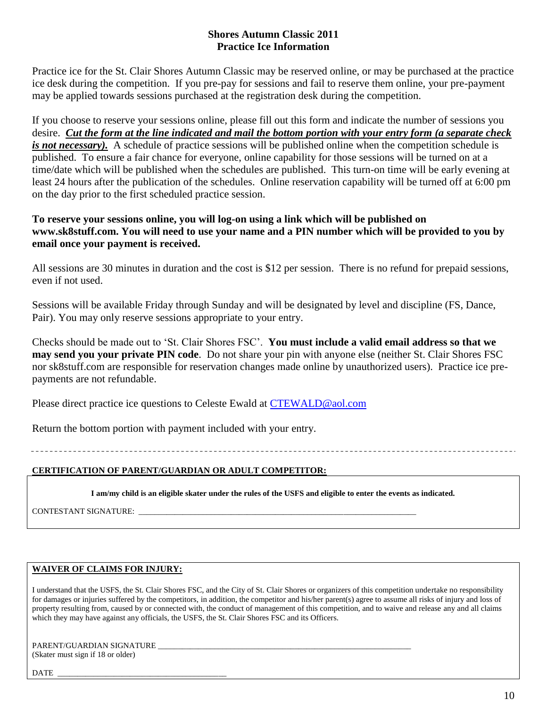## **Shores Autumn Classic 2011 Practice Ice Information**

Practice ice for the St. Clair Shores Autumn Classic may be reserved online, or may be purchased at the practice ice desk during the competition. If you pre-pay for sessions and fail to reserve them online, your pre-payment may be applied towards sessions purchased at the registration desk during the competition.

If you choose to reserve your sessions online, please fill out this form and indicate the number of sessions you desire. *Cut the form at the line indicated and mail the bottom portion with your entry form (a separate check is not necessary*). A schedule of practice sessions will be published online when the competition schedule is published. To ensure a fair chance for everyone, online capability for those sessions will be turned on at a time/date which will be published when the schedules are published. This turn-on time will be early evening at least 24 hours after the publication of the schedules. Online reservation capability will be turned off at 6:00 pm on the day prior to the first scheduled practice session.

## **To reserve your sessions online, you will log-on using a link which will be published on www.sk8stuff.com. You will need to use your name and a PIN number which will be provided to you by email once your payment is received.**

All sessions are 30 minutes in duration and the cost is \$12 per session. There is no refund for prepaid sessions, even if not used.

Sessions will be available Friday through Sunday and will be designated by level and discipline (FS, Dance, Pair). You may only reserve sessions appropriate to your entry.

Checks should be made out to ‗St. Clair Shores FSC'. **You must include a valid email address so that we may send you your private PIN code**. Do not share your pin with anyone else (neither St. Clair Shores FSC nor sk8stuff.com are responsible for reservation changes made online by unauthorized users). Practice ice prepayments are not refundable.

Please direct practice ice questions to Celeste Ewald at [CTEWALD@aol.com](mailto:CTEWALD@aol.com)

Return the bottom portion with payment included with your entry.

**CERTIFICATION OF PARENT/GUARDIAN OR ADULT COMPETITOR:**

**I am/my child is an eligible skater under the rules of the USFS and eligible to enter the events as indicated.**

CONTESTANT SIGNATURE: \_\_\_\_\_\_\_\_\_\_\_\_\_\_\_\_\_\_\_\_\_\_\_\_\_\_\_\_\_\_\_\_\_\_\_\_\_\_\_\_\_\_\_\_\_\_\_\_\_\_\_\_\_\_\_\_\_\_\_\_\_\_\_\_\_\_\_\_\_

## **WAIVER OF CLAIMS FOR INJURY:**

I understand that the USFS, the St. Clair Shores FSC, and the City of St. Clair Shores or organizers of this competition undertake no responsibility for damages or injuries suffered by the competitors, in addition, the competitor and his/her parent(s) agree to assume all risks of injury and loss of property resulting from, caused by or connected with, the conduct of management of this competition, and to waive and release any and all claims which they may have against any officials, the USFS, the St. Clair Shores FSC and its Officers.

PARENT/GUARDIAN SIGNATURE (Skater must sign if 18 or older)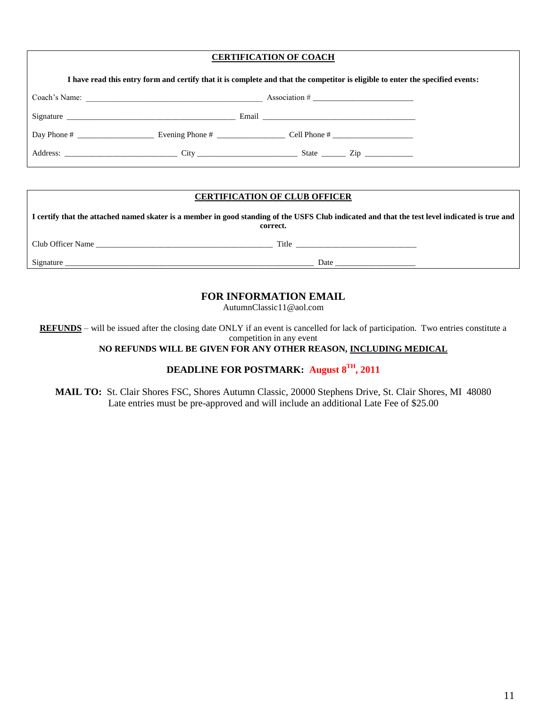### **CERTIFICATION OF COACH**

| I have read this entry form and certify that it is complete and that the competitor is eligible to enter the specified events: |                                                                                                                                                                                                                               |                                                       |  |  |
|--------------------------------------------------------------------------------------------------------------------------------|-------------------------------------------------------------------------------------------------------------------------------------------------------------------------------------------------------------------------------|-------------------------------------------------------|--|--|
|                                                                                                                                |                                                                                                                                                                                                                               |                                                       |  |  |
|                                                                                                                                | Signature Signature and the set of the set of the set of the set of the set of the set of the set of the set of the set of the set of the set of the set of the set of the set of the set of the set of the set of the set of |                                                       |  |  |
|                                                                                                                                |                                                                                                                                                                                                                               | Day Phone # Evening Phone # Cell Phone # Cell Phone # |  |  |
|                                                                                                                                |                                                                                                                                                                                                                               | Address: City State Zip                               |  |  |

## **CERTIFICATION OF CLUB OFFICER**

**I certify that the attached named skater is a member in good standing of the USFS Club indicated and that the test level indicated is true and correct.** Club Officer Name \_\_\_\_\_\_\_\_\_\_\_\_\_\_\_\_\_\_\_\_\_\_\_\_\_\_\_\_\_\_\_\_\_\_\_\_\_\_\_\_\_\_\_\_ Title \_\_\_\_\_\_\_\_\_\_\_\_\_\_\_\_\_\_\_\_\_\_\_\_\_\_\_\_\_\_ Signature \_\_\_\_\_\_\_\_\_\_\_\_\_\_\_\_\_\_\_\_\_\_\_\_\_\_\_\_\_\_\_\_\_\_\_\_\_\_\_\_\_\_\_\_\_\_\_\_\_\_\_\_\_\_\_\_\_\_\_\_\_\_ Date \_\_\_\_\_\_\_\_\_\_\_\_\_\_\_\_\_\_\_\_

## **FOR INFORMATION EMAIL**

AutumnClassic11@aol.com

**REFUNDS** – will be issued after the closing date ONLY if an event is cancelled for lack of participation. Two entries constitute a competition in any event

**NO REFUNDS WILL BE GIVEN FOR ANY OTHER REASON, INCLUDING MEDICAL**

## **DEADLINE FOR POSTMARK: August 8 TH, 2011**

**MAIL TO:** St. Clair Shores FSC, Shores Autumn Classic, 20000 Stephens Drive, St. Clair Shores, MI 48080 Late entries must be pre-approved and will include an additional Late Fee of \$25.00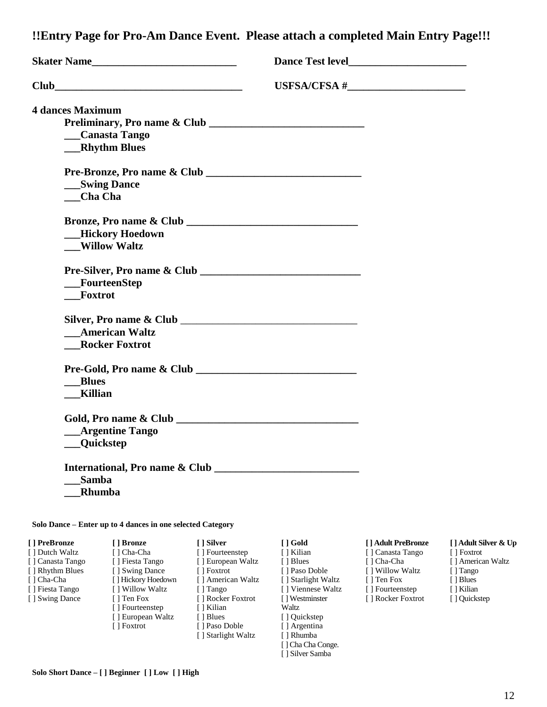**!!Entry Page for Pro-Am Dance Event. Please attach a completed Main Entry Page!!!**

| <b>Skater Name</b> 1.1 and 1.1 and 1.1 and 1.1 and 1.1 and 1.1 and 1.1 and 1.1 and 1.1 and 1.1 and 1.1 and 1.1 and 1.1 and 1.1 and 1.1 and 1.1 and 1.1 and 1.1 and 1.1 and 1.1 and 1.1 and 1.1 and 1.1 and 1.1 and 1.1 and 1.1 and |                 |
|------------------------------------------------------------------------------------------------------------------------------------------------------------------------------------------------------------------------------------|-----------------|
|                                                                                                                                                                                                                                    | USFSA/CFSA $\#$ |
| <b>4 dances Maximum</b>                                                                                                                                                                                                            |                 |
|                                                                                                                                                                                                                                    |                 |
| __Canasta Tango                                                                                                                                                                                                                    |                 |
| __Rhythm Blues                                                                                                                                                                                                                     |                 |
| Pre-Bronze, Pro name & Club                                                                                                                                                                                                        |                 |
| <b>Swing Dance</b>                                                                                                                                                                                                                 |                 |
| <b>Cha Cha</b>                                                                                                                                                                                                                     |                 |
|                                                                                                                                                                                                                                    |                 |
| <b>__Hickory Hoedown</b>                                                                                                                                                                                                           |                 |
| <b>Willow Waltz</b>                                                                                                                                                                                                                |                 |
|                                                                                                                                                                                                                                    |                 |
| FourteenStep                                                                                                                                                                                                                       |                 |
| Foxtrot                                                                                                                                                                                                                            |                 |
|                                                                                                                                                                                                                                    |                 |
| <b>American Waltz</b>                                                                                                                                                                                                              |                 |
| <b>Rocker Foxtrot</b>                                                                                                                                                                                                              |                 |
|                                                                                                                                                                                                                                    |                 |
| <b>Blues</b>                                                                                                                                                                                                                       |                 |
| <b>Killian</b>                                                                                                                                                                                                                     |                 |
|                                                                                                                                                                                                                                    |                 |
| <b>Argentine Tango</b>                                                                                                                                                                                                             |                 |
| <b>Quickstep</b>                                                                                                                                                                                                                   |                 |
| International, Pro name & Club                                                                                                                                                                                                     |                 |
| Samba                                                                                                                                                                                                                              |                 |
| Rhumba                                                                                                                                                                                                                             |                 |

**[ ] PreBronze** [ ] Dutch Waltz [ ] Canasta Tango [ ] Rhythm Blues [ ] Cha-Cha [ ] Fiesta Tango [ ] Swing Dance **[ ] Bronze** [ ] Cha-Cha [ ] Fiesta Tango [ ] Swing Dance [ ] Hickory Hoedown [ ] Willow Waltz [ ] Ten Fox [ ] Fourteenstep [ ] European Waltz [ ] Foxtrot **[ ] Silver** [ ] Fourteenstep [ ] European Waltz [ ] Foxtrot [ ] American Waltz [ ] Tango [ ] Rocker Foxtrot [ ] Kilian [ ] Blues [ ] Paso Doble [ ] Starlight Waltz **[ ] Gold** [ ] Kilian [ ] Blues [ ] Paso Doble [ ] Starlight Waltz [ ] Viennese Waltz [ ] Westminster **Waltz** [ ] Quickstep [ ] Argentina [ ] Rhumba [ ] Cha Cha Conge.

#### **[ ] Adult PreBronze**

[ ] Canasta Tango [ ] Cha-Cha [ ] Willow Waltz [ ] Ten Fox [ ] Fourteenstep [ ] Rocker Foxtrot

[ ] Silver Samba

#### **[ ] Adult Silver & Up**

- [ ] Foxtrot
- [ ] American Waltz
- [] Tango
- [ ] Blues
- [ ] Kilian
- [ ] Quickstep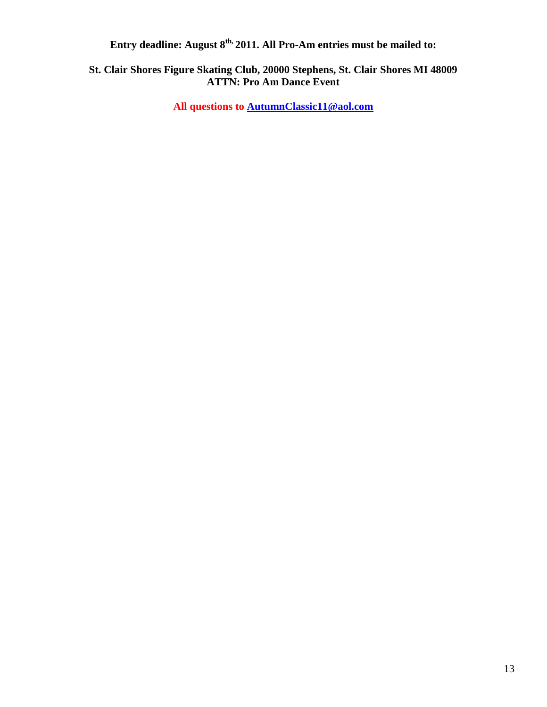**Entry deadline: August 8th, 2011. All Pro-Am entries must be mailed to:**

# **St. Clair Shores Figure Skating Club, 20000 Stephens, St. Clair Shores MI 48009 ATTN: Pro Am Dance Event**

**All questions to [AutumnClassic11@aol.com](mailto:AutumnClassic11@aol.com)**